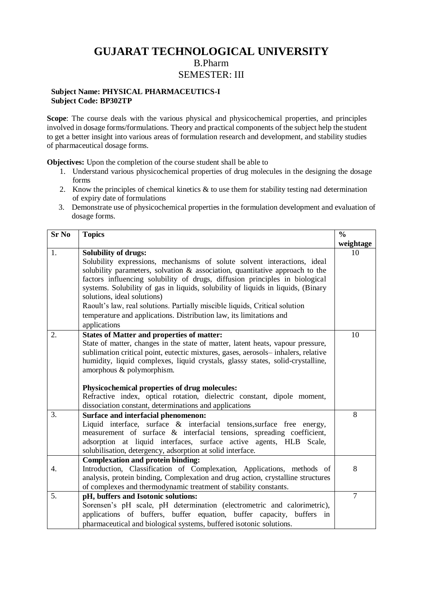## **GUJARAT TECHNOLOGICAL UNIVERSITY** B.Pharm SEMESTER: III

## **Subject Name: PHYSICAL PHARMACEUTICS-I Subject Code: BP302TP**

**Scope**: The course deals with the various physical and physicochemical properties, and principles involved in dosage forms/formulations. Theory and practical components of the subject help the student to get a better insight into various areas of formulation research and development, and stability studies of pharmaceutical dosage forms.

**Objectives:** Upon the completion of the course student shall be able to

- 1. Understand various physicochemical properties of drug molecules in the designing the dosage forms
- 2. Know the principles of chemical kinetics  $\&$  to use them for stability testing nad determination of expiry date of formulations
- 3. Demonstrate use of physicochemical properties in the formulation development and evaluation of dosage forms.

| <b>Sr No</b> | <b>Topics</b>                                                                                                                                                                                                                                                                                                                                                                                                                                                                                                                                                      | $\frac{0}{0}$  |
|--------------|--------------------------------------------------------------------------------------------------------------------------------------------------------------------------------------------------------------------------------------------------------------------------------------------------------------------------------------------------------------------------------------------------------------------------------------------------------------------------------------------------------------------------------------------------------------------|----------------|
|              |                                                                                                                                                                                                                                                                                                                                                                                                                                                                                                                                                                    | weightage      |
| 1.           | <b>Solubility of drugs:</b><br>Solubility expressions, mechanisms of solute solvent interactions, ideal<br>solubility parameters, solvation $\&$ association, quantitative approach to the<br>factors influencing solubility of drugs, diffusion principles in biological<br>systems. Solubility of gas in liquids, solubility of liquids in liquids, (Binary<br>solutions, ideal solutions)<br>Raoult's law, real solutions. Partially miscible liquids, Critical solution<br>temperature and applications. Distribution law, its limitations and<br>applications | 10             |
| 2.           | <b>States of Matter and properties of matter:</b><br>State of matter, changes in the state of matter, latent heats, vapour pressure,<br>sublimation critical point, eutectic mixtures, gases, aerosols-inhalers, relative<br>humidity, liquid complexes, liquid crystals, glassy states, solid-crystalline,<br>amorphous & polymorphism.<br>Physicochemical properties of drug molecules:<br>Refractive index, optical rotation, dielectric constant, dipole moment,<br>dissociation constant, determinations and applications                                     | 10             |
| 3.           | <b>Surface and interfacial phenomenon:</b><br>Liquid interface, surface & interfacial tensions, surface free energy,<br>measurement of surface & interfacial tensions, spreading coefficient,<br>adsorption at liquid interfaces, surface active agents, HLB Scale,<br>solubilisation, detergency, adsorption at solid interface.                                                                                                                                                                                                                                  | 8              |
| 4.           | <b>Complexation and protein binding:</b><br>Introduction, Classification of Complexation, Applications, methods of<br>analysis, protein binding, Complexation and drug action, crystalline structures<br>of complexes and thermodynamic treatment of stability constants.                                                                                                                                                                                                                                                                                          | 8              |
| 5.           | pH, buffers and Isotonic solutions:<br>Sorensen's pH scale, pH determination (electrometric and calorimetric),<br>applications of buffers, buffer equation, buffer capacity, buffers in<br>pharmaceutical and biological systems, buffered isotonic solutions.                                                                                                                                                                                                                                                                                                     | $\overline{7}$ |